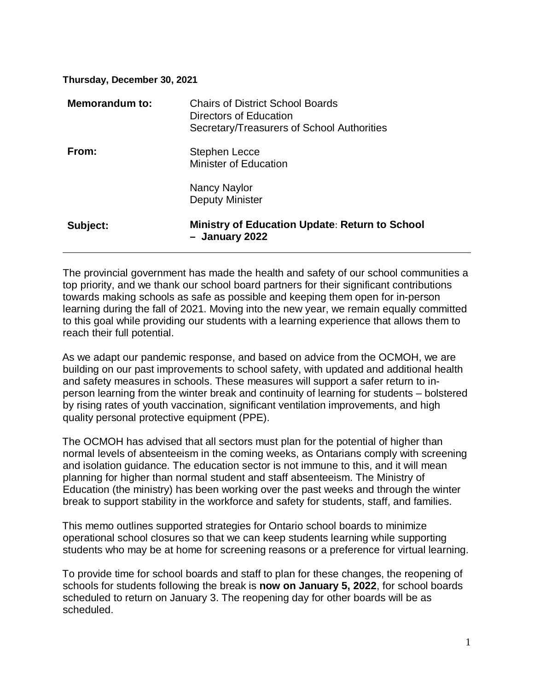#### **Thursday, December 30, 2021**

| Memorandum to: | <b>Chairs of District School Boards</b><br>Directors of Education<br>Secretary/Treasurers of School Authorities |
|----------------|-----------------------------------------------------------------------------------------------------------------|
| From:          | Stephen Lecce<br><b>Minister of Education</b>                                                                   |
|                | Nancy Naylor<br><b>Deputy Minister</b>                                                                          |
| Subject:       | <b>Ministry of Education Update: Return to School</b><br>- January 2022                                         |

The provincial government has made the health and safety of our school communities a top priority, and we thank our school board partners for their significant contributions towards making schools as safe as possible and keeping them open for in-person learning during the fall of 2021. Moving into the new year, we remain equally committed to this goal while providing our students with a learning experience that allows them to reach their full potential.

As we adapt our pandemic response, and based on advice from the OCMOH, we are building on our past improvements to school safety, with updated and additional health and safety measures in schools. These measures will support a safer return to inperson learning from the winter break and continuity of learning for students – bolstered by rising rates of youth vaccination, significant ventilation improvements, and high quality personal protective equipment (PPE).

The OCMOH has advised that all sectors must plan for the potential of higher than normal levels of absenteeism in the coming weeks, as Ontarians comply with screening and isolation guidance. The education sector is not immune to this, and it will mean planning for higher than normal student and staff absenteeism. The Ministry of Education (the ministry) has been working over the past weeks and through the winter break to support stability in the workforce and safety for students, staff, and families.

This memo outlines supported strategies for Ontario school boards to minimize operational school closures so that we can keep students learning while supporting students who may be at home for screening reasons or a preference for virtual learning.

To provide time for school boards and staff to plan for these changes, the reopening of schools for students following the break is **now on January 5, 2022**, for school boards scheduled to return on January 3. The reopening day for other boards will be as scheduled.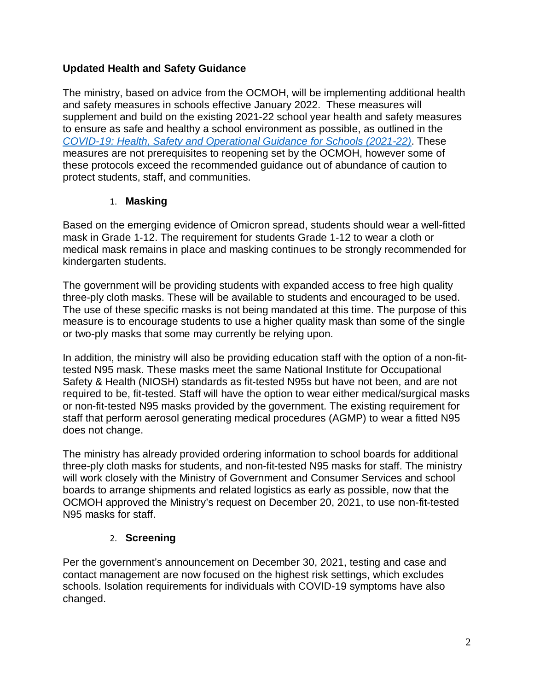### **Updated Health and Safety Guidance**

The ministry, based on advice from the OCMOH, will be implementing additional health and safety measures in schools effective January 2022. These measures will supplement and build on the existing 2021-22 school year health and safety measures to ensure as safe and healthy a school environment as possible, as outlined in the *[COVID-19: Health, Safety and Operational Guidance for Schools \(2021-22\)](https://www.ontario.ca/document/covid-19-health-safety-and-operational-guidance-schools-2021-2022)*. These measures are not prerequisites to reopening set by the OCMOH, however some of these protocols exceed the recommended guidance out of abundance of caution to protect students, staff, and communities.

#### 1. **Masking**

Based on the emerging evidence of Omicron spread, students should wear a well-fitted mask in Grade 1-12. The requirement for students Grade 1-12 to wear a cloth or medical mask remains in place and masking continues to be strongly recommended for kindergarten students.

The government will be providing students with expanded access to free high quality three-ply cloth masks. These will be available to students and encouraged to be used. The use of these specific masks is not being mandated at this time. The purpose of this measure is to encourage students to use a higher quality mask than some of the single or two-ply masks that some may currently be relying upon.

In addition, the ministry will also be providing education staff with the option of a non-fittested N95 mask. These masks meet the same National Institute for Occupational Safety & Health (NIOSH) standards as fit-tested N95s but have not been, and are not required to be, fit-tested. Staff will have the option to wear either medical/surgical masks or non-fit-tested N95 masks provided by the government. The existing requirement for staff that perform aerosol generating medical procedures (AGMP) to wear a fitted N95 does not change.

The ministry has already provided ordering information to school boards for additional three-ply cloth masks for students, and non-fit-tested N95 masks for staff. The ministry will work closely with the Ministry of Government and Consumer Services and school boards to arrange shipments and related logistics as early as possible, now that the OCMOH approved the Ministry's request on December 20, 2021, to use non-fit-tested N95 masks for staff.

# 2. **Screening**

Per the government's announcement on December 30, 2021, testing and case and contact management are now focused on the highest risk settings, which excludes schools. Isolation requirements for individuals with COVID-19 symptoms have also changed.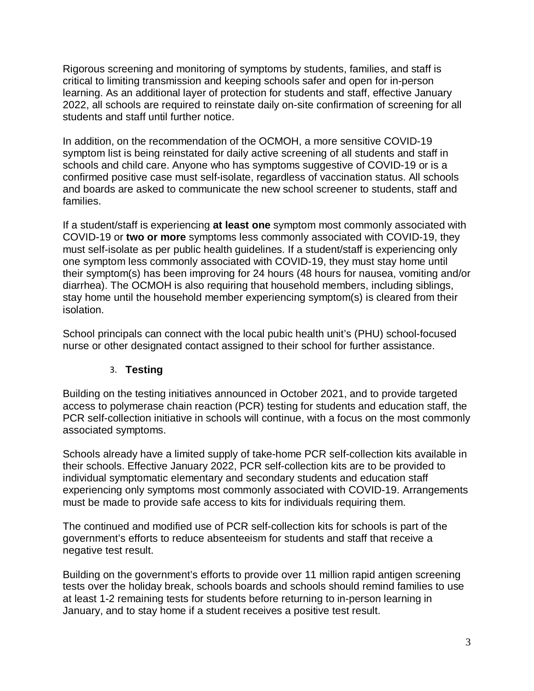Rigorous screening and monitoring of symptoms by students, families, and staff is critical to limiting transmission and keeping schools safer and open for in-person learning. As an additional layer of protection for students and staff, effective January 2022, all schools are required to reinstate daily on-site confirmation of screening for all students and staff until further notice.

In addition, on the recommendation of the OCMOH, a more sensitive COVID-19 symptom list is being reinstated for daily active screening of all students and staff in schools and child care. Anyone who has symptoms suggestive of COVID-19 or is a confirmed positive case must self-isolate, regardless of vaccination status. All schools and boards are asked to communicate the new school screener to students, staff and families.

If a student/staff is experiencing **at least one** symptom most commonly associated with COVID-19 or **two or more** symptoms less commonly associated with COVID-19, they must self-isolate as per public health guidelines. If a student/staff is experiencing only one symptom less commonly associated with COVID-19, they must stay home until their symptom(s) has been improving for 24 hours (48 hours for nausea, vomiting and/or diarrhea). The OCMOH is also requiring that household members, including siblings, stay home until the household member experiencing symptom(s) is cleared from their isolation.

School principals can connect with the local pubic health unit's (PHU) school-focused nurse or other designated contact assigned to their school for further assistance.

# 3. **Testing**

Building on the testing initiatives announced in October 2021, and to provide targeted access to polymerase chain reaction (PCR) testing for students and education staff, the PCR self-collection initiative in schools will continue, with a focus on the most commonly associated symptoms.

Schools already have a limited supply of take-home PCR self-collection kits available in their schools. Effective January 2022, PCR self-collection kits are to be provided to individual symptomatic elementary and secondary students and education staff experiencing only symptoms most commonly associated with COVID-19. Arrangements must be made to provide safe access to kits for individuals requiring them.

The continued and modified use of PCR self-collection kits for schools is part of the government's efforts to reduce absenteeism for students and staff that receive a negative test result.

Building on the government's efforts to provide over 11 million rapid antigen screening tests over the holiday break, schools boards and schools should remind families to use at least 1-2 remaining tests for students before returning to in-person learning in January, and to stay home if a student receives a positive test result.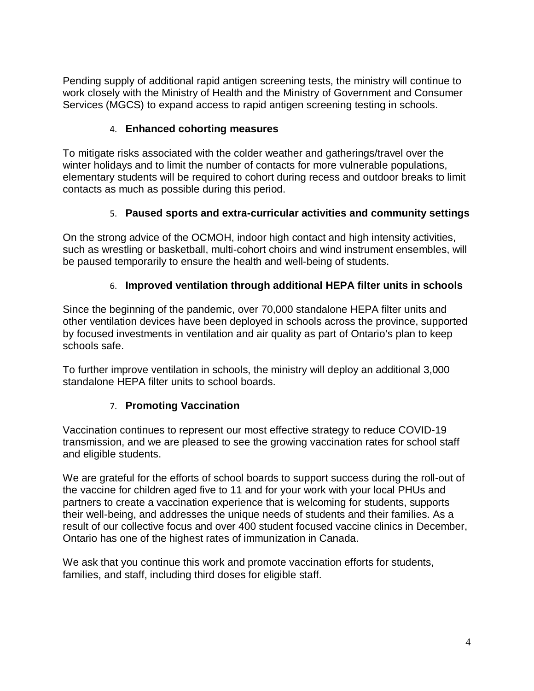Pending supply of additional rapid antigen screening tests, the ministry will continue to work closely with the Ministry of Health and the Ministry of Government and Consumer Services (MGCS) to expand access to rapid antigen screening testing in schools.

### 4. **Enhanced cohorting measures**

To mitigate risks associated with the colder weather and gatherings/travel over the winter holidays and to limit the number of contacts for more vulnerable populations, elementary students will be required to cohort during recess and outdoor breaks to limit contacts as much as possible during this period.

#### 5. **Paused sports and extra-curricular activities and community settings**

On the strong advice of the OCMOH, indoor high contact and high intensity activities, such as wrestling or basketball, multi-cohort choirs and wind instrument ensembles, will be paused temporarily to ensure the health and well-being of students.

#### 6. **Improved ventilation through additional HEPA filter units in schools**

Since the beginning of the pandemic, over 70,000 standalone HEPA filter units and other ventilation devices have been deployed in schools across the province, supported by focused investments in ventilation and air quality as part of Ontario's plan to keep schools safe.

To further improve ventilation in schools, the ministry will deploy an additional 3,000 standalone HEPA filter units to school boards.

#### 7. **Promoting Vaccination**

Vaccination continues to represent our most effective strategy to reduce COVID-19 transmission, and we are pleased to see the growing vaccination rates for school staff and eligible students.

We are grateful for the efforts of school boards to support success during the roll-out of the vaccine for children aged five to 11 and for your work with your local PHUs and partners to create a vaccination experience that is welcoming for students, supports their well-being, and addresses the unique needs of students and their families. As a result of our collective focus and over 400 student focused vaccine clinics in December, Ontario has one of the highest rates of immunization in Canada.

We ask that you continue this work and promote vaccination efforts for students, families, and staff, including third doses for eligible staff.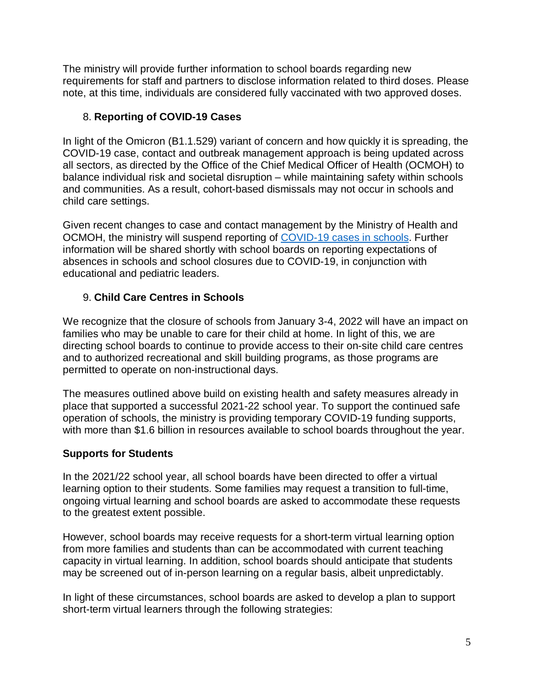The ministry will provide further information to school boards regarding new requirements for staff and partners to disclose information related to third doses. Please note, at this time, individuals are considered fully vaccinated with two approved doses.

#### 8. **Reporting of COVID-19 Cases**

In light of the Omicron (B1.1.529) variant of concern and how quickly it is spreading, the COVID-19 case, contact and outbreak management approach is being updated across all sectors, as directed by the Office of the Chief Medical Officer of Health (OCMOH) to balance individual risk and societal disruption – while maintaining safety within schools and communities. As a result, cohort-based dismissals may not occur in schools and child care settings.

Given recent changes to case and contact management by the Ministry of Health and OCMOH, the ministry will suspend reporting of [COVID-19 cases in schools.](https://www.ontario.ca/page/covid-19-cases-schools) Further information will be shared shortly with school boards on reporting expectations of absences in schools and school closures due to COVID-19, in conjunction with educational and pediatric leaders.

# 9. **Child Care Centres in Schools**

We recognize that the closure of schools from January 3-4, 2022 will have an impact on families who may be unable to care for their child at home. In light of this, we are directing school boards to continue to provide access to their on-site child care centres and to authorized recreational and skill building programs, as those programs are permitted to operate on non-instructional days.

The measures outlined above build on existing health and safety measures already in place that supported a successful 2021-22 school year. To support the continued safe operation of schools, the ministry is providing temporary COVID-19 funding supports, with more than \$1.6 billion in resources available to school boards throughout the year.

# **Supports for Students**

In the 2021/22 school year, all school boards have been directed to offer a virtual learning option to their students. Some families may request a transition to full-time, ongoing virtual learning and school boards are asked to accommodate these requests to the greatest extent possible.

However, school boards may receive requests for a short-term virtual learning option from more families and students than can be accommodated with current teaching capacity in virtual learning. In addition, school boards should anticipate that students may be screened out of in-person learning on a regular basis, albeit unpredictably.

In light of these circumstances, school boards are asked to develop a plan to support short-term virtual learners through the following strategies: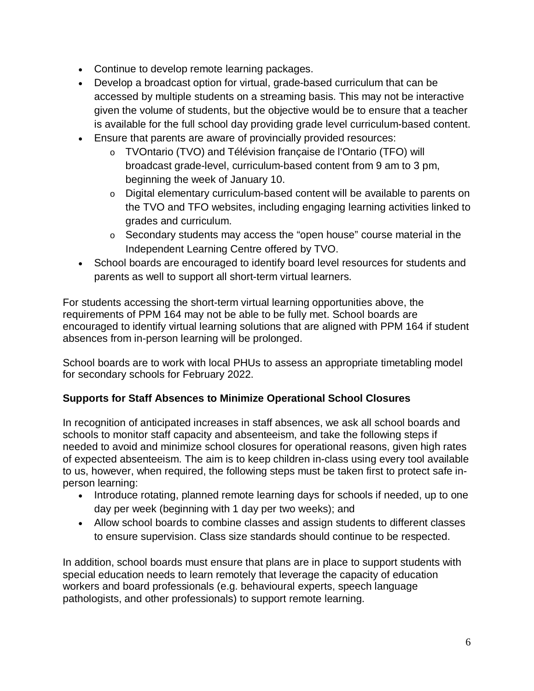- Continue to develop remote learning packages.
- Develop a broadcast option for virtual, grade-based curriculum that can be accessed by multiple students on a streaming basis. This may not be interactive given the volume of students, but the objective would be to ensure that a teacher is available for the full school day providing grade level curriculum-based content.
- Ensure that parents are aware of provincially provided resources:
	- o TVOntario (TVO) and Télévision française de l'Ontario (TFO) will broadcast grade-level, curriculum-based content from 9 am to 3 pm, beginning the week of January 10.
	- o Digital elementary curriculum-based content will be available to parents on the TVO and TFO websites, including engaging learning activities linked to grades and curriculum.
	- o Secondary students may access the "open house" course material in the Independent Learning Centre offered by TVO.
- School boards are encouraged to identify board level resources for students and parents as well to support all short-term virtual learners.

For students accessing the short-term virtual learning opportunities above, the requirements of PPM 164 may not be able to be fully met. School boards are encouraged to identify virtual learning solutions that are aligned with PPM 164 if student absences from in-person learning will be prolonged.

School boards are to work with local PHUs to assess an appropriate timetabling model for secondary schools for February 2022.

# **Supports for Staff Absences to Minimize Operational School Closures**

In recognition of anticipated increases in staff absences, we ask all school boards and schools to monitor staff capacity and absenteeism, and take the following steps if needed to avoid and minimize school closures for operational reasons, given high rates of expected absenteeism. The aim is to keep children in-class using every tool available to us, however, when required, the following steps must be taken first to protect safe inperson learning:

- Introduce rotating, planned remote learning days for schools if needed, up to one day per week (beginning with 1 day per two weeks); and
- Allow school boards to combine classes and assign students to different classes to ensure supervision. Class size standards should continue to be respected.

In addition, school boards must ensure that plans are in place to support students with special education needs to learn remotely that leverage the capacity of education workers and board professionals (e.g. behavioural experts, speech language pathologists, and other professionals) to support remote learning.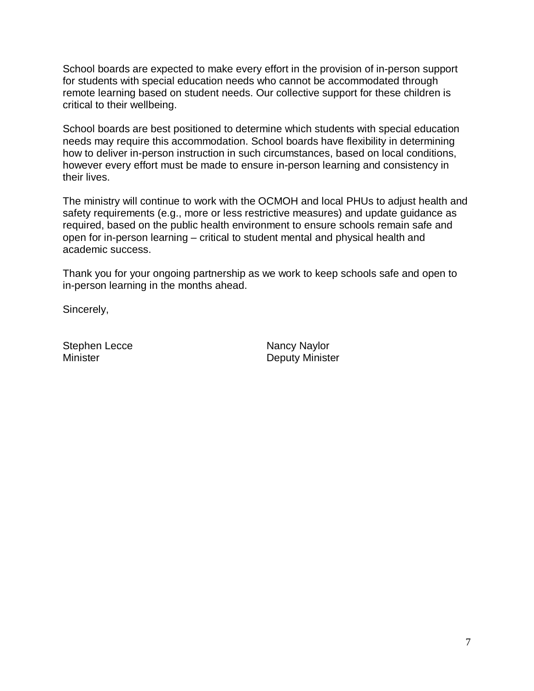School boards are expected to make every effort in the provision of in-person support for students with special education needs who cannot be accommodated through remote learning based on student needs. Our collective support for these children is critical to their wellbeing.

School boards are best positioned to determine which students with special education needs may require this accommodation. School boards have flexibility in determining how to deliver in-person instruction in such circumstances, based on local conditions, however every effort must be made to ensure in-person learning and consistency in their lives.

The ministry will continue to work with the OCMOH and local PHUs to adjust health and safety requirements (e.g., more or less restrictive measures) and update guidance as required, based on the public health environment to ensure schools remain safe and open for in-person learning – critical to student mental and physical health and academic success.

Thank you for your ongoing partnership as we work to keep schools safe and open to in-person learning in the months ahead.

Sincerely,

Stephen Lecce Nancy Naylor

Minister **Deputy Minister**